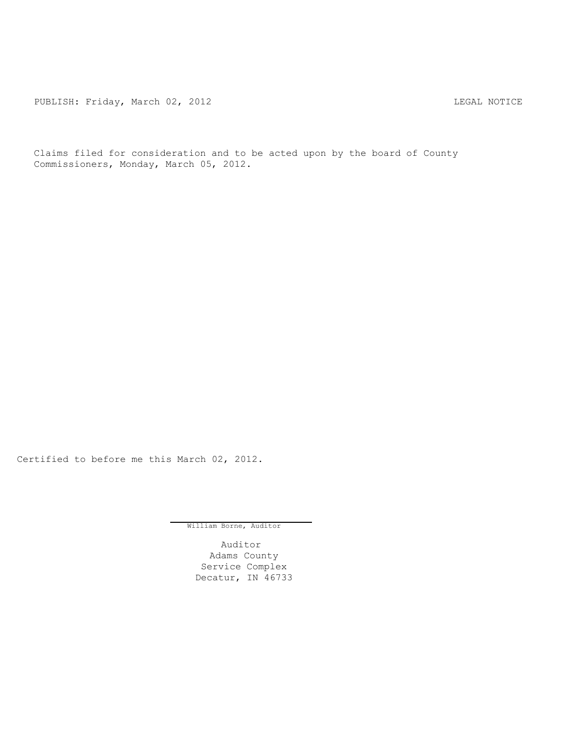PUBLISH: Friday, March 02, 2012 CHANGER CONSTRUCTER REGAL NOTICE

Claims filed for consideration and to be acted upon by the board of County Commissioners, Monday, March 05, 2012.

Certified to before me this March 02, 2012.

William Borne, Auditor

Auditor Adams County Service Complex Decatur, IN 46733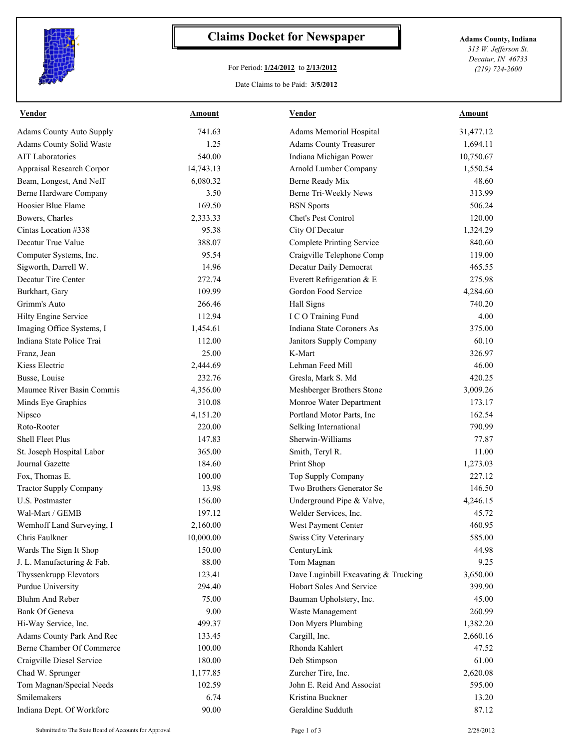

## **Claims Docket for Newspaper Adams County, Indiana**

## For Period: **1/24/2012** to **2/13/2012**

*313 W. Jefferson St. Decatur, IN 46733 (219) 724-2600*

## Date Claims to be Paid: **3/5/2012**

| <b>Vendor</b>                   | Amount    | <b>Vendor</b>                        | <b>Amount</b> |
|---------------------------------|-----------|--------------------------------------|---------------|
| <b>Adams County Auto Supply</b> | 741.63    | Adams Memorial Hospital              | 31,477.12     |
| Adams County Solid Waste        | 1.25      | <b>Adams County Treasurer</b>        | 1,694.11      |
| <b>AIT Laboratories</b>         | 540.00    | Indiana Michigan Power               | 10,750.67     |
| Appraisal Research Corpor       | 14,743.13 | Arnold Lumber Company                | 1,550.54      |
| Beam, Longest, And Neff         | 6,080.32  | Berne Ready Mix                      | 48.60         |
| Berne Hardware Company          | 3.50      | Berne Tri-Weekly News                | 313.99        |
| Hoosier Blue Flame              | 169.50    | <b>BSN</b> Sports                    | 506.24        |
| Bowers, Charles                 | 2,333.33  | Chet's Pest Control                  | 120.00        |
| Cintas Location #338            | 95.38     | City Of Decatur                      | 1,324.29      |
| Decatur True Value              | 388.07    | <b>Complete Printing Service</b>     | 840.60        |
| Computer Systems, Inc.          | 95.54     | Craigville Telephone Comp            | 119.00        |
| Sigworth, Darrell W.            | 14.96     | Decatur Daily Democrat               | 465.55        |
| Decatur Tire Center             | 272.74    | Everett Refrigeration & E            | 275.98        |
| Burkhart, Gary                  | 109.99    | Gordon Food Service                  | 4,284.60      |
| Grimm's Auto                    | 266.46    | Hall Signs                           | 740.20        |
| Hilty Engine Service            | 112.94    | I C O Training Fund                  | 4.00          |
| Imaging Office Systems, I       | 1,454.61  | Indiana State Coroners As            | 375.00        |
| Indiana State Police Trai       | 112.00    | Janitors Supply Company              | 60.10         |
| Franz, Jean                     | 25.00     | K-Mart                               | 326.97        |
| Kiess Electric                  | 2,444.69  | Lehman Feed Mill                     | 46.00         |
| Busse, Louise                   | 232.76    | Gresla, Mark S. Md                   | 420.25        |
| Maumee River Basin Commis       | 4,356.00  | Meshberger Brothers Stone            | 3,009.26      |
| Minds Eye Graphics              | 310.08    | Monroe Water Department              | 173.17        |
| Nipsco                          | 4,151.20  | Portland Motor Parts, Inc            | 162.54        |
| Roto-Rooter                     | 220.00    | Selking International                | 790.99        |
| Shell Fleet Plus                | 147.83    | Sherwin-Williams                     | 77.87         |
| St. Joseph Hospital Labor       | 365.00    | Smith, Teryl R.                      | 11.00         |
| Journal Gazette                 | 184.60    | Print Shop                           | 1,273.03      |
| Fox, Thomas E.                  | 100.00    | Top Supply Company                   | 227.12        |
| <b>Tractor Supply Company</b>   | 13.98     | Two Brothers Generator Se            | 146.50        |
| U.S. Postmaster                 | 156.00    | Underground Pipe & Valve,            | 4,246.15      |
| Wal-Mart / GEMB                 | 197.12    | Welder Services, Inc.                | 45.72         |
| Wemhoff Land Surveying, I       | 2,160.00  | West Payment Center                  | 460.95        |
| Chris Faulkner                  | 10,000.00 | Swiss City Veterinary                | 585.00        |
| Wards The Sign It Shop          | 150.00    | CenturyLink                          | 44.98         |
| J. L. Manufacturing & Fab.      | 88.00     | Tom Magnan                           | 9.25          |
| Thyssenkrupp Elevators          | 123.41    | Dave Luginbill Excavating & Trucking | 3,650.00      |
| Purdue University               | 294.40    | Hobart Sales And Service             | 399.90        |
| Bluhm And Reber                 | 75.00     | Bauman Upholstery, Inc.              | 45.00         |
| <b>Bank Of Geneva</b>           | 9.00      | Waste Management                     | 260.99        |
| Hi-Way Service, Inc.            | 499.37    | Don Myers Plumbing                   | 1,382.20      |
| Adams County Park And Rec       | 133.45    | Cargill, Inc.                        | 2,660.16      |
| Berne Chamber Of Commerce       | 100.00    | Rhonda Kahlert                       | 47.52         |
| Craigville Diesel Service       | 180.00    | Deb Stimpson                         | 61.00         |
| Chad W. Sprunger                | 1,177.85  | Zurcher Tire, Inc.                   | 2,620.08      |
| Tom Magnan/Special Needs        | 102.59    | John E. Reid And Associat            | 595.00        |
| Smilemakers                     | 6.74      | Kristina Buckner                     | 13.20         |
| Indiana Dept. Of Workforc       | 90.00     | Geraldine Sudduth                    | 87.12         |
|                                 |           |                                      |               |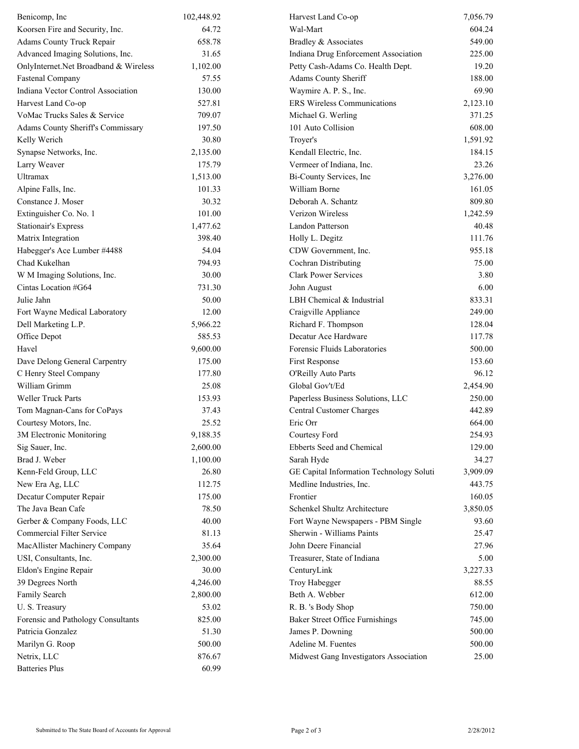| Benicomp, Inc                         | 102,448.92 | Harvest Land Co-op                       | 7,056.79 |
|---------------------------------------|------------|------------------------------------------|----------|
| Koorsen Fire and Security, Inc.       | 64.72      | Wal-Mart                                 | 604.24   |
| Adams County Truck Repair             | 658.78     | Bradley & Associates                     | 549.00   |
| Advanced Imaging Solutions, Inc.      | 31.65      | Indiana Drug Enforcement Association     | 225.00   |
| OnlyInternet.Net Broadband & Wireless | 1,102.00   | Petty Cash-Adams Co. Health Dept.        | 19.20    |
| <b>Fastenal Company</b>               | 57.55      | Adams County Sheriff                     | 188.00   |
| Indiana Vector Control Association    | 130.00     | Waymire A. P. S., Inc.                   | 69.90    |
| Harvest Land Co-op                    | 527.81     | <b>ERS Wireless Communications</b>       | 2,123.10 |
| VoMac Trucks Sales & Service          | 709.07     | Michael G. Werling                       | 371.25   |
| Adams County Sheriff's Commissary     | 197.50     | 101 Auto Collision                       | 608.00   |
| Kelly Werich                          | 30.80      | Troyer's                                 | 1,591.92 |
| Synapse Networks, Inc.                | 2,135.00   | Kendall Electric, Inc.                   | 184.15   |
| Larry Weaver                          | 175.79     | Vermeer of Indiana, Inc.                 | 23.26    |
| Ultramax                              | 1,513.00   | Bi-County Services, Inc                  | 3,276.00 |
| Alpine Falls, Inc.                    | 101.33     | William Borne                            | 161.05   |
| Constance J. Moser                    | 30.32      | Deborah A. Schantz                       | 809.80   |
| Extinguisher Co. No. 1                | 101.00     | Verizon Wireless                         | 1,242.59 |
| <b>Stationair's Express</b>           | 1,477.62   | Landon Patterson                         | 40.48    |
| Matrix Integration                    | 398.40     | Holly L. Degitz                          | 111.76   |
| Habegger's Ace Lumber #4488           | 54.04      | CDW Government, Inc.                     | 955.18   |
| Chad Kukelhan                         | 794.93     | Cochran Distributing                     | 75.00    |
| W M Imaging Solutions, Inc.           | 30.00      | <b>Clark Power Services</b>              | 3.80     |
| Cintas Location #G64                  | 731.30     | John August                              | 6.00     |
| Julie Jahn                            | 50.00      | LBH Chemical & Industrial                | 833.31   |
| Fort Wayne Medical Laboratory         | 12.00      | Craigville Appliance                     | 249.00   |
| Dell Marketing L.P.                   | 5,966.22   | Richard F. Thompson                      | 128.04   |
| Office Depot                          | 585.53     | Decatur Ace Hardware                     | 117.78   |
| Havel                                 | 9,600.00   | Forensic Fluids Laboratories             | 500.00   |
| Dave Delong General Carpentry         | 175.00     | First Response                           | 153.60   |
| C Henry Steel Company                 | 177.80     | O'Reilly Auto Parts                      | 96.12    |
| William Grimm                         | 25.08      | Global Gov't/Ed                          | 2,454.90 |
| Weller Truck Parts                    | 153.93     | Paperless Business Solutions, LLC        | 250.00   |
| Tom Magnan-Cans for CoPays            | 37.43      | Central Customer Charges                 | 442.89   |
| Courtesy Motors, Inc.                 | 25.52      | Eric Orr                                 | 664.00   |
| 3M Electronic Monitoring              | 9,188.35   | Courtesy Ford                            | 254.93   |
| Sig Sauer, Inc.                       | 2,600.00   | Ebberts Seed and Chemical                | 129.00   |
| Brad J. Weber                         | 1,100.00   | Sarah Hyde                               | 34.27    |
| Kenn-Feld Group, LLC                  | 26.80      | GE Capital Information Technology Soluti | 3,909.09 |
| New Era Ag, LLC                       | 112.75     | Medline Industries, Inc.                 | 443.75   |
| Decatur Computer Repair               | 175.00     | Frontier                                 | 160.05   |
| The Java Bean Cafe                    | 78.50      | Schenkel Shultz Architecture             | 3,850.05 |
| Gerber & Company Foods, LLC           | 40.00      | Fort Wayne Newspapers - PBM Single       | 93.60    |
| <b>Commercial Filter Service</b>      | 81.13      | Sherwin - Williams Paints                | 25.47    |
| MacAllister Machinery Company         | 35.64      | John Deere Financial                     | 27.96    |
| USI, Consultants, Inc.                | 2,300.00   | Treasurer, State of Indiana              | 5.00     |
| Eldon's Engine Repair                 | 30.00      | CenturyLink                              | 3,227.33 |
| 39 Degrees North                      | 4,246.00   | Troy Habegger                            | 88.55    |
| Family Search                         | 2,800.00   | Beth A. Webber                           | 612.00   |
| U.S. Treasury                         | 53.02      | R. B. 's Body Shop                       | 750.00   |
| Forensic and Pathology Consultants    | 825.00     | <b>Baker Street Office Furnishings</b>   | 745.00   |
| Patricia Gonzalez                     | 51.30      | James P. Downing                         | 500.00   |
| Marilyn G. Roop                       | 500.00     | Adeline M. Fuentes                       | 500.00   |
| Netrix, LLC                           | 876.67     | Midwest Gang Investigators Association   | 25.00    |
| <b>Batteries Plus</b>                 | 60.99      |                                          |          |